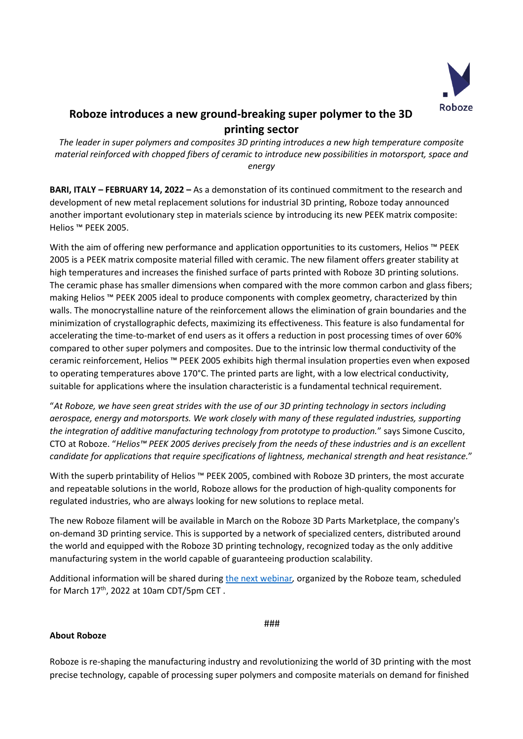

## **Roboze introduces a new ground-breaking super polymer to the 3D printing sector**

*The leader in super polymers and composites 3D printing introduces a new high temperature composite material reinforced with chopped fibers of ceramic to introduce new possibilities in motorsport, space and energy*

**BARI, ITALY – FEBRUARY 14, 2022 –** As a demonstation of its continued commitment to the research and development of new metal replacement solutions for industrial 3D printing, Roboze today announced another important evolutionary step in materials science by introducing its new PEEK matrix composite: Helios ™ PEEK 2005.

With the aim of offering new performance and application opportunities to its customers, Helios ™ PEEK 2005 is a PEEK matrix composite material filled with ceramic. The new filament offers greater stability at high temperatures and increases the finished surface of parts printed with Roboze 3D printing solutions. The ceramic phase has smaller dimensions when compared with the more common carbon and glass fibers; making Helios ™ PEEK 2005 ideal to produce components with complex geometry, characterized by thin walls. The monocrystalline nature of the reinforcement allows the elimination of grain boundaries and the minimization of crystallographic defects, maximizing its effectiveness. This feature is also fundamental for accelerating the time-to-market of end users as it offers a reduction in post processing times of over 60% compared to other super polymers and composites. Due to the intrinsic low thermal conductivity of the ceramic reinforcement, Helios ™ PEEK 2005 exhibits high thermal insulation properties even when exposed to operating temperatures above 170°C. The printed parts are light, with a low electrical conductivity, suitable for applications where the insulation characteristic is a fundamental technical requirement.

"*At Roboze, we have seen great strides with the use of our 3D printing technology in sectors including aerospace, energy and motorsports. We work closely with many of these regulated industries, supporting the integration of additive manufacturing technology from prototype to production.*" says Simone Cuscito, CTO at Roboze. "*Helios™ PEEK 2005 derives precisely from the needs of these industries and is an excellent candidate for applications that require specifications of lightness, mechanical strength and heat resistance.*"

With the superb printability of Helios ™ PEEK 2005, combined with Roboze 3D printers, the most accurate and repeatable solutions in the world, Roboze allows for the production of high-quality components for regulated industries, who are always looking for new solutions to replace metal.

The new Roboze filament will be available in March on the Roboze 3D Parts Marketplace, the company's on-demand 3D printing service. This is supported by a network of specialized centers, distributed around the world and equipped with the Roboze 3D printing technology, recognized today as the only additive manufacturing system in the world capable of guaranteeing production scalability.

Additional information will be shared during [the next webinar](https://www.bigmarker.com/roboze/Introducing-Roboze-s-Helios-PEEK-2005)*,* organized by the Roboze team, scheduled for March  $17<sup>th</sup>$ , 2022 at 10am CDT/5pm CET.

## **About Roboze**

###

Roboze is re-shaping the manufacturing industry and revolutionizing the world of 3D printing with the most precise technology, capable of processing super polymers and composite materials on demand for finished